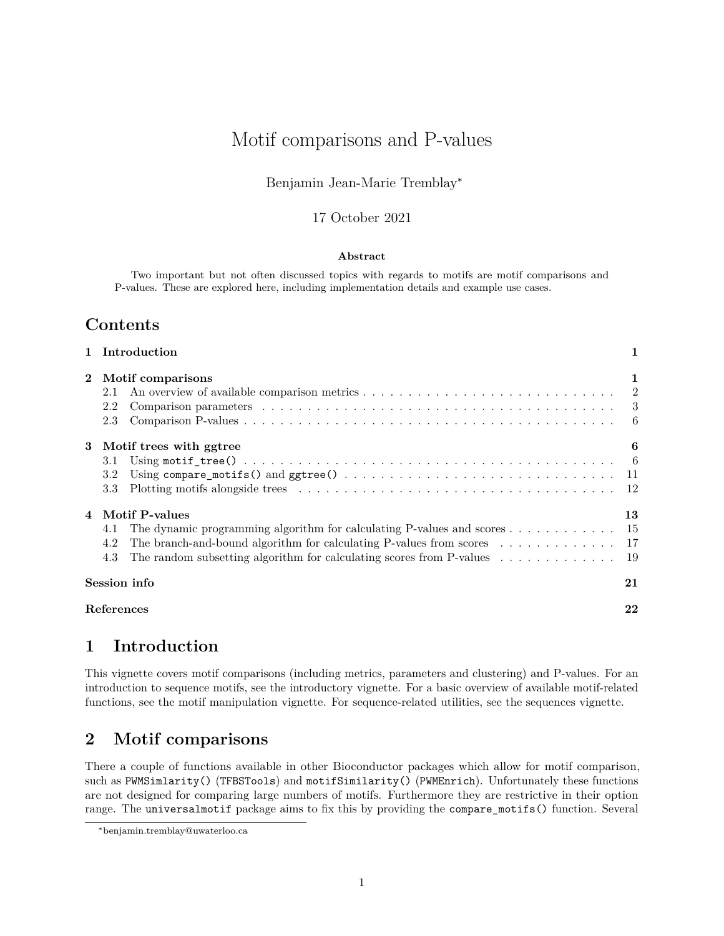# Motif comparisons and P-values

### Benjamin Jean-Marie Tremblay<sup>∗</sup>

### 17 October 2021

#### **Abstract**

Two important but not often discussed topics with regards to motifs are motif comparisons and P-values. These are explored here, including implementation details and example use cases.

# **Contents**

|          | 1 Introduction                                                                                                                                                                                                                                                                                                              |    |  |  |  |  |
|----------|-----------------------------------------------------------------------------------------------------------------------------------------------------------------------------------------------------------------------------------------------------------------------------------------------------------------------------|----|--|--|--|--|
| $\bf{2}$ | Motif comparisons<br>2.1<br>Comparison parameters $\ldots \ldots \ldots \ldots \ldots \ldots \ldots \ldots \ldots \ldots \ldots \ldots$<br>2.2<br>2.3                                                                                                                                                                       | 1  |  |  |  |  |
|          | 3 Motif trees with ggtree<br>3.1<br>3.2<br>3.3                                                                                                                                                                                                                                                                              | 6  |  |  |  |  |
| 4        | Motif P-values<br>The dynamic programming algorithm for calculating P-values and scores 15<br>4.1<br>The branch-and-bound algorithm for calculating P-values from scores $\dots \dots \dots \dots \dots$ 17<br>4.2<br>The random subsetting algorithm for calculating scores from P-values $\dots \dots \dots \dots$<br>4.3 | 13 |  |  |  |  |
|          | Session info                                                                                                                                                                                                                                                                                                                | 21 |  |  |  |  |
|          | References<br>22                                                                                                                                                                                                                                                                                                            |    |  |  |  |  |

# <span id="page-0-0"></span>**1 Introduction**

This vignette covers motif comparisons (including metrics, parameters and clustering) and P-values. For an introduction to sequence motifs, see the introductory vignette. For a basic overview of available motif-related functions, see the motif manipulation vignette. For sequence-related utilities, see the sequences vignette.

# <span id="page-0-1"></span>**2 Motif comparisons**

There a couple of functions available in other Bioconductor packages which allow for motif comparison, such as PWMSimlarity() (TFBSTools) and motifSimilarity() (PWMEnrich). Unfortunately these functions are not designed for comparing large numbers of motifs. Furthermore they are restrictive in their option range. The universalmotif package aims to fix this by providing the compare\_motifs() function. Several

<sup>∗</sup>[benjamin.tremblay@uwaterloo.ca](mailto:benjamin.tremblay@uwaterloo.ca)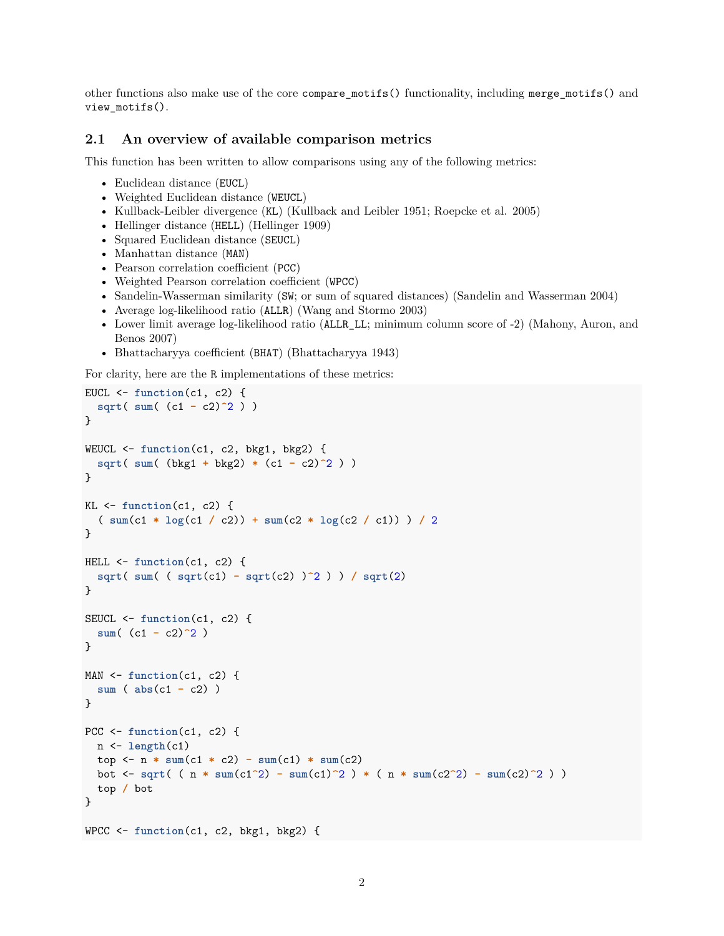other functions also make use of the core compare\_motifs() functionality, including merge\_motifs() and view\_motifs().

#### <span id="page-1-0"></span>**2.1 An overview of available comparison metrics**

This function has been written to allow comparisons using any of the following metrics:

- Euclidean distance (EUCL)
- Weighted Euclidean distance (WEUCL)
- Kullback-Leibler divergence (KL) (Kullback and Leibler 1951; Roepcke et al. 2005)
- Hellinger distance (HELL) (Hellinger 1909)
- Squared Euclidean distance (SEUCL)
- Manhattan distance (MAN)
- Pearson correlation coefficient (PCC)
- Weighted Pearson correlation coefficient (WPCC)
- Sandelin-Wasserman similarity (SW; or sum of squared distances) (Sandelin and Wasserman 2004)
- Average log-likelihood ratio (ALLR) (Wang and Stormo 2003)
- Lower limit average log-likelihood ratio (ALLR\_LL; minimum column score of -2) (Mahony, Auron, and Benos 2007)
- Bhattacharyya coefficient (BHAT) (Bhattacharyya 1943)

For clarity, here are the R implementations of these metrics:

```
EUCL \leftarrow function(c1, c2) {
  sqrt( sum( (c1 - c2)^2 ) )
}
WEUCL <- function(c1, c2, bkg1, bkg2) {
  sqrt( sum( (bkg1 + bkg2) * (c1 - c2)^2 ) )
}
KL <- function(c1, c2) {
  ( sum(c1 * log(c1 / c2)) + sum(c2 * log(c2 / c1)) ) / 2
}
HELL <- function(c1, c2) {
  sqrt( sum( ( sqrt(c1) - sqrt(c2) )^2 ) ) / sqrt(2)
}
SEUCL <- function(c1, c2) {
  sum( (c1 - c2)^2 )
}
MAN <- function(c1, c2) {
  sum ( abs(c1 - c2) )
}
PCC <- function(c1, c2) {
  n <- length(c1)
  top \leftarrow n * \text{sum}(c1 * c2) - \text{sum}(c1) * \text{sum}(c2)bot <- sqrt( ( n * sum(c1^2) - sum(c1)^2 ) * ( n * sum(c2^2) - sum(c2)^2 ) )
  top / bot
}
WPCC <- function(c1, c2, bkg1, bkg2) {
```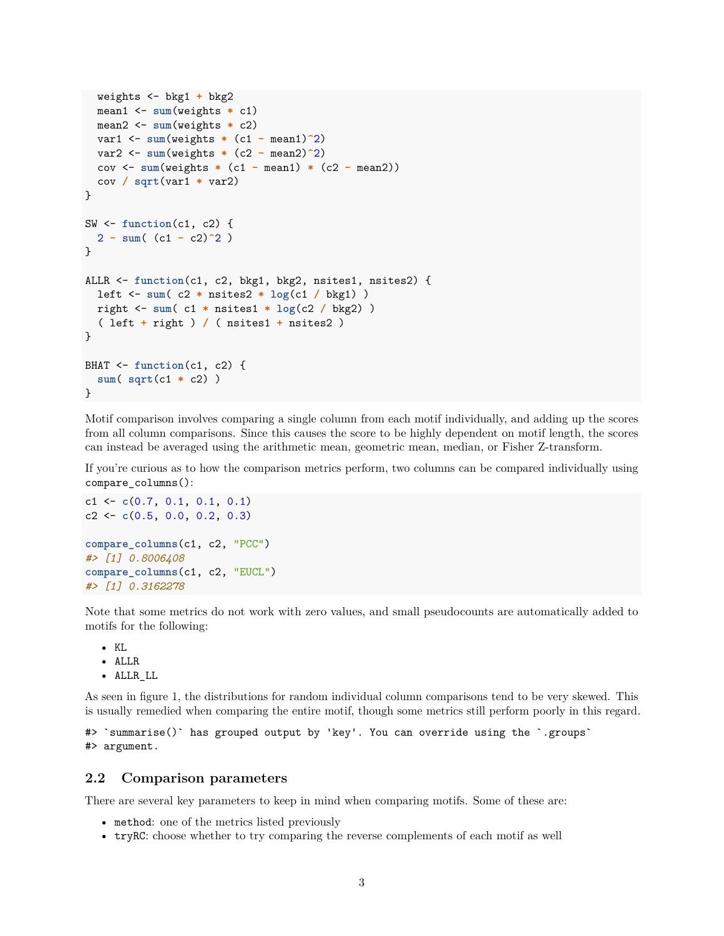```
weights <- bkg1 + bkg2
  mean1 <- sum(weights * c1)
  mean2 <- sum(weights * c2)
  var1 <- sum(weights * (c1 - mean1)^2)
  var2 <- sum(weights * (c2 - mean2)^2)
  cov <- sum(weights * (c1 - mean1) * (c2 - mean2))
  cov / sqrt(var1 * var2)
}
SW <- function(c1, c2) {
  2 - sum( (c1 - c2)^2 )
}
ALLR <- function(c1, c2, bkg1, bkg2, nsites1, nsites2) {
  left <- sum( c2 * nsites2 * log(c1 / bkg1) )
  right <- sum( c1 * nsites1 * log(c2 / bkg2) )
  ( left + right ) / ( nsites1 + nsites2 )
}
BHAT <- function(c1, c2) {
  sum( sqrt(c1 * c2) )
}
```
Motif comparison involves comparing a single column from each motif individually, and adding up the scores from all column comparisons. Since this causes the score to be highly dependent on motif length, the scores can instead be averaged using the arithmetic mean, geometric mean, median, or Fisher Z-transform.

If you're curious as to how the comparison metrics perform, two columns can be compared individually using compare\_columns():

```
c1 <- c(0.7, 0.1, 0.1, 0.1)
c2 <- c(0.5, 0.0, 0.2, 0.3)
compare_columns(c1, c2, "PCC")
#> [1] 0.8006408
compare_columns(c1, c2, "EUCL")
#> [1] 0.3162278
```
Note that some metrics do not work with zero values, and small pseudocounts are automatically added to motifs for the following:

 $\bullet$  KI. • ALLR

• ALLR\_LL

As seen in figure [1,](#page-3-0) the distributions for random individual column comparisons tend to be very skewed. This is usually remedied when comparing the entire motif, though some metrics still perform poorly in this regard.

#> `summarise()` has grouped output by 'key'. You can override using the `.groups` #> argument.

#### <span id="page-2-0"></span>**2.2 Comparison parameters**

There are several key parameters to keep in mind when comparing motifs. Some of these are:

- method: one of the metrics listed previously
- tryRC: choose whether to try comparing the reverse complements of each motif as well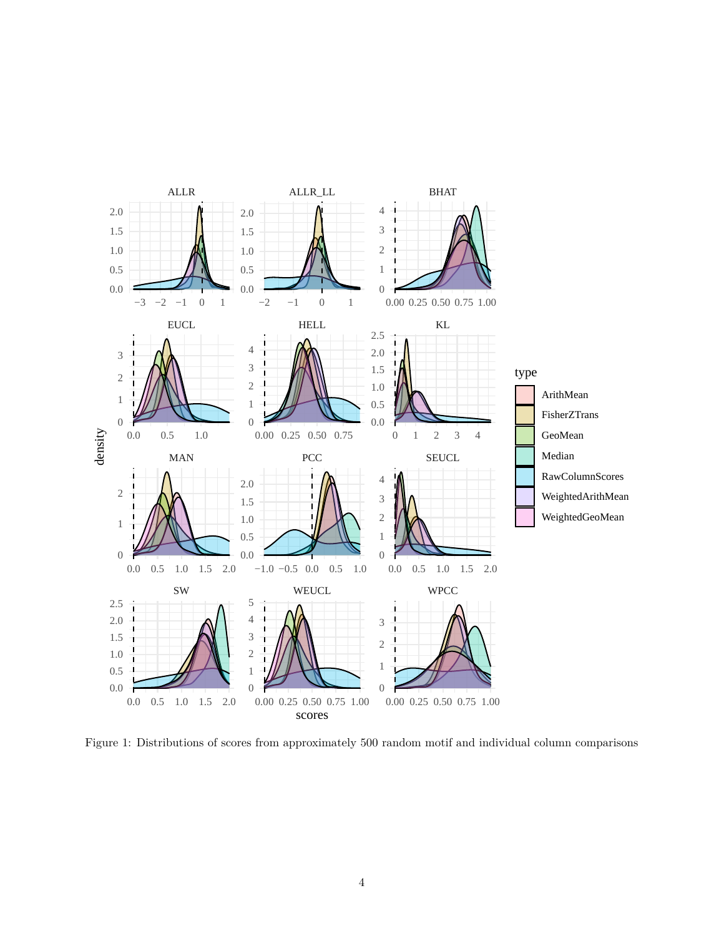

<span id="page-3-0"></span>Figure 1: Distributions of scores from approximately 500 random motif and individual column comparisons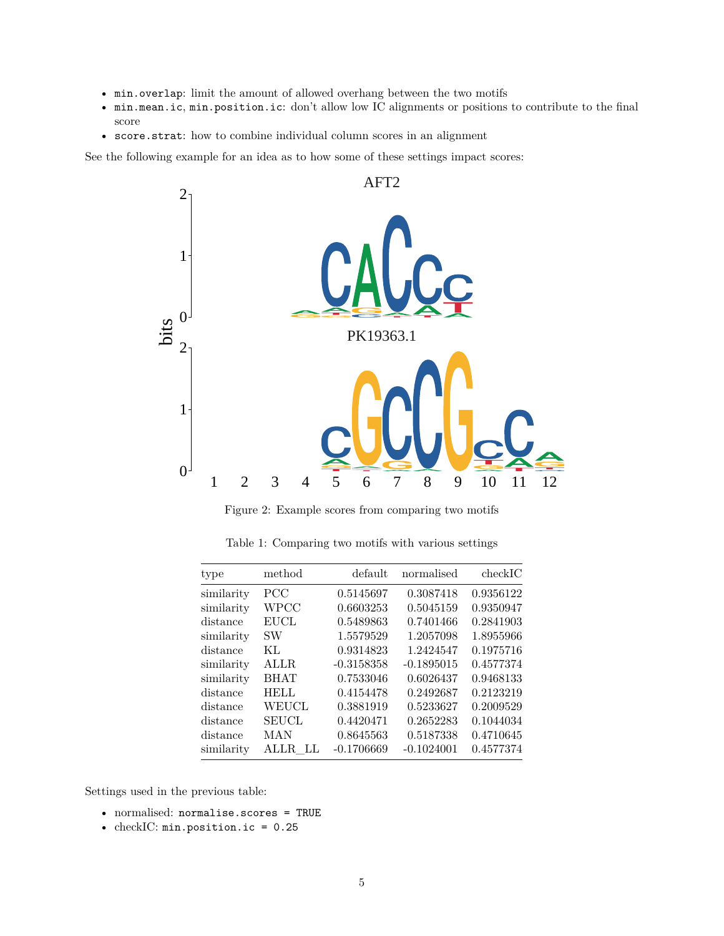- min.overlap: limit the amount of allowed overhang between the two motifs
- min.mean.ic, min.position.ic: don't allow low IC alignments or positions to contribute to the final score
- score.strat: how to combine individual column scores in an alignment

See the following example for an idea as to how some of these settings impact scores:



Figure 2: Example scores from comparing two motifs

| type       | method       | default      | normalised   | checkIC   |
|------------|--------------|--------------|--------------|-----------|
| similarity | <b>PCC</b>   | 0.5145697    | 0.3087418    | 0.9356122 |
| similarity | WPCC         | 0.6603253    | 0.5045159    | 0.9350947 |
| distance   | <b>EUCL</b>  | 0.5489863    | 0.7401466    | 0.2841903 |
| similarity | <b>SW</b>    | 1.5579529    | 1.2057098    | 1.8955966 |
| distance   | KL           | 0.9314823    | 1.2424547    | 0.1975716 |
| similarity | ALLR.        | $-0.3158358$ | $-0.1895015$ | 0.4577374 |
| similarity | <b>BHAT</b>  | 0.7533046    | 0.6026437    | 0.9468133 |
| distance   | <b>HELL</b>  | 0.4154478    | 0.2492687    | 0.2123219 |
| distance   | <b>WEUCL</b> | 0.3881919    | 0.5233627    | 0.2009529 |
| distance   | <b>SEUCL</b> | 0.4420471    | 0.2652283    | 0.1044034 |
| distance   | MAN          | 0.8645563    | 0.5187338    | 0.4710645 |
| similarity | ALLR LL      | $-0.1706669$ | $-0.1024001$ | 0.4577374 |

Table 1: Comparing two motifs with various settings

Settings used in the previous table:

- normalised: normalise.scores = TRUE
- checkIC: min.position.ic = 0.25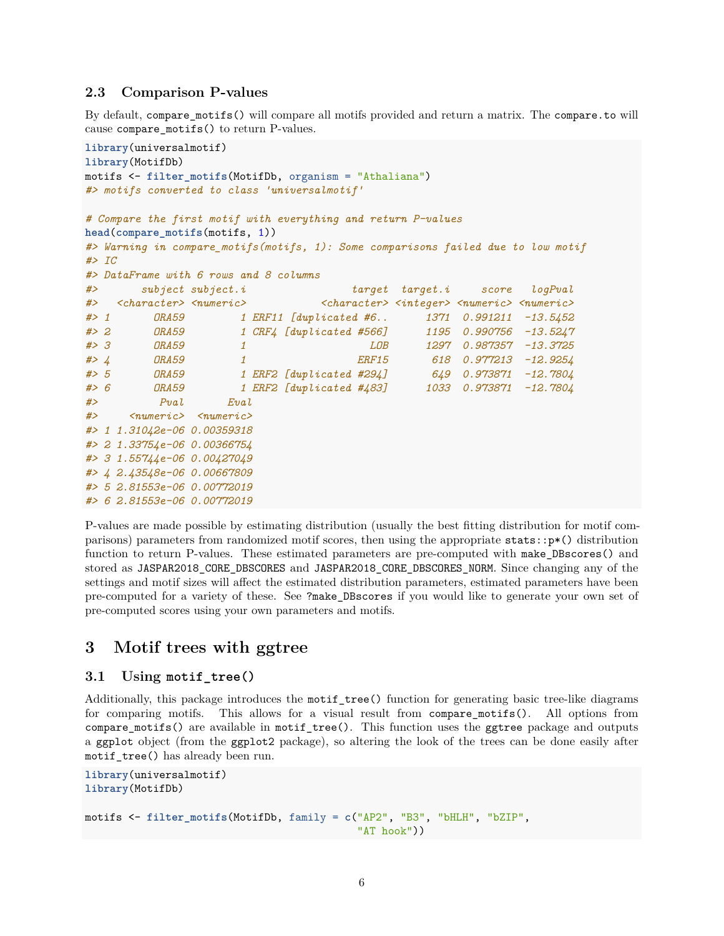### <span id="page-5-0"></span>**2.3 Comparison P-values**

By default, compare\_motifs() will compare all motifs provided and return a matrix. The compare.to will cause compare\_motifs() to return P-values.

```
library(universalmotif)
library(MotifDb)
motifs <- filter_motifs(MotifDb, organism = "Athaliana")
#> motifs converted to class 'universalmotif'
# Compare the first motif with everything and return P-values
head(compare_motifs(motifs, 1))
#> Warning in compare_motifs(motifs, 1): Some comparisons failed due to low motif
#> IC
#> DataFrame with 6 rows and 8 columns
#> subject subject.i target target.i score logPval
#> <character> <numeric> <character> <integer> <numeric> <numeric>
#> 1 ORA59 1 ERF11 [duplicated #6.. 1371 0.991211 -13.5452
#> 2 ORA59 1 CRF4 [duplicated #566] 1195 0.990756 -13.5247
#> 3 ORA59 1 LOB 1297 0.987357 -13.3725
#> 4 ORA59 1 ERF15 618 0.977213 -12.9254
#> 5 ORA59 1 ERF2 [duplicated #294] 649 0.973871 -12.7804
#> 6 ORA59 1 ERF2 [duplicated #483] 1033 0.973871 -12.7804
#> Pval Eval
#> <numeric> <numeric>
#> 1 1.31042e-06 0.00359318
#> 2 1.33754e-06 0.00366754
#> 3 1.55744e-06 0.00427049
#> 4 2.43548e-06 0.00667809
#> 5 2.81553e-06 0.00772019
#> 6 2.81553e-06 0.00772019
```
P-values are made possible by estimating distribution (usually the best fitting distribution for motif comparisons) parameters from randomized motif scores, then using the appropriate stats::p\*() distribution function to return P-values. These estimated parameters are pre-computed with make\_DBscores() and stored as JASPAR2018 CORE DBSCORES and JASPAR2018 CORE DBSCORES NORM. Since changing any of the settings and motif sizes will affect the estimated distribution parameters, estimated parameters have been pre-computed for a variety of these. See ?make\_DBscores if you would like to generate your own set of pre-computed scores using your own parameters and motifs.

# <span id="page-5-1"></span>**3 Motif trees with ggtree**

### <span id="page-5-2"></span>**3.1 Using motif\_tree()**

Additionally, this package introduces the motif\_tree() function for generating basic tree-like diagrams for comparing motifs. This allows for a visual result from compare\_motifs(). All options from compare\_motifs() are available in motif\_tree(). This function uses the ggtree package and outputs a ggplot object (from the ggplot2 package), so altering the look of the trees can be done easily after motif\_tree() has already been run.

```
library(universalmotif)
library(MotifDb)
motifs <- filter_motifs(MotifDb, family = c("AP2", "B3", "bHLH", "bZIP",
```

```
"AT hook"))
```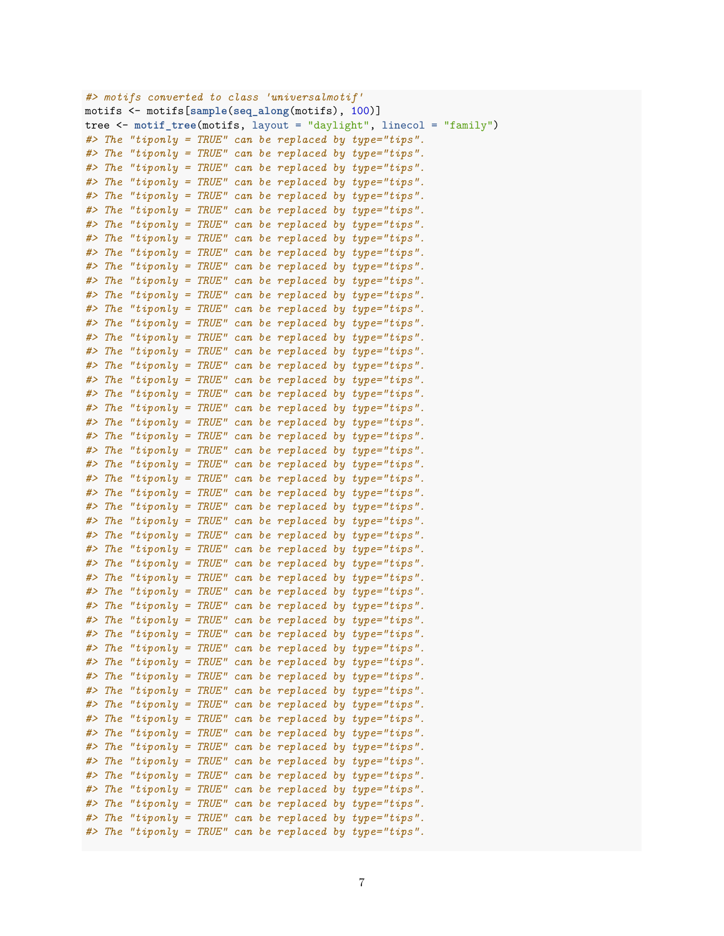```
#> motifs converted to class 'universalmotif'
motifs <- motifs[sample(seq_along(motifs), 100)]
tree <- motif tree(motifs, layout = "daylight", linecol = "family")
#> The "tiponly = TRUE" can be replaced by type="tips".
#> The "tiponly = TRUE" can be replaced by type="tips".
#> The "tiponly = TRUE" can be replaced by type="tips".
#> The "tiponly = TRUE" can be replaced by type="tips".
#> The "tiponly = TRUE" can be replaced by type="tips".
#> The "tiponly = TRUE" can be replaced by type="tips".
#> The "tiponly = TRUE" can be replaced by type="tips".
#> The "tiponly = TRUE" can be replaced by type="tips".
#> The "tiponly = TRUE" can be replaced by type="tips".
#> The "tiponly = TRUE" can be replaced by type="tips".
#> The "tiponly = TRUE" can be replaced by type="tips".
#> The "tiponly = TRUE" can be replaced by type="tips".
#> The "tiponly = TRUE" can be replaced by type="tips".
#> The "tiponly = TRUE" can be replaced by type="tips".
#> The "tiponly = TRUE" can be replaced by type="tips".
#> The "tiponly = TRUE" can be replaced by type="tips".
#> The "tiponly = TRUE" can be replaced by type="tips".
#> The "tiponly = TRUE" can be replaced by type="tips".
#> The "tiponly = TRUE" can be replaced by type="tips".
#> The "tiponly = TRUE" can be replaced by type="tips".
#> The "tiponly = TRUE" can be replaced by type="tips".
#> The "tiponly = TRUE" can be replaced by type="tips".
#> The "tiponly = TRUE" can be replaced by type="tips".
#> The "tiponly = TRUE" can be replaced by type="tips".
#> The "tiponly = TRUE" can be replaced by type="tips".
#> The "tiponly = TRUE" can be replaced by type="tips".
#> The "tiponly = TRUE" can be replaced by type="tips".
#> The "tiponly = TRUE" can be replaced by type="tips".
#> The "tiponly = TRUE" can be replaced by type="tips".
#> The "tiponly = TRUE" can be replaced by type="tips".
#> The "tiponly = TRUE" can be replaced by type="tips".
#> The "tiponly = TRUE" can be replaced by type="tips".
#> The "tiponly = TRUE" can be replaced by type="tips".
#> The "tiponly = TRUE" can be replaced by type="tips".
#> The "tiponly = TRUE" can be replaced by type="tips".
#> The "tiponly = TRUE" can be replaced by type="tips".
#> The "tiponly = TRUE" can be replaced by type="tips".
#> The "tiponly = TRUE" can be replaced by type="tips".
#> The "tiponly = TRUE" can be replaced by type="tips".
#> The "tiponly = TRUE" can be replaced by type="tips".
#> The "tiponly = TRUE" can be replaced by type="tips".
#> The "tiponly = TRUE" can be replaced by type="tips".
#> The "tiponly = TRUE" can be replaced by type="tips".
#> The "tiponly = TRUE" can be replaced by type="tips".
#> The "tiponly = TRUE" can be replaced by type="tips".
#> The "tiponly = TRUE" can be replaced by type="tips".
#> The "tiponly = TRUE" can be replaced by type="tips".
#> The "tiponly = TRUE" can be replaced by type="tips".
#> The "tiponly = TRUE" can be replaced by type="tips".
#> The "tiponly = TRUE" can be replaced by type="tips".
```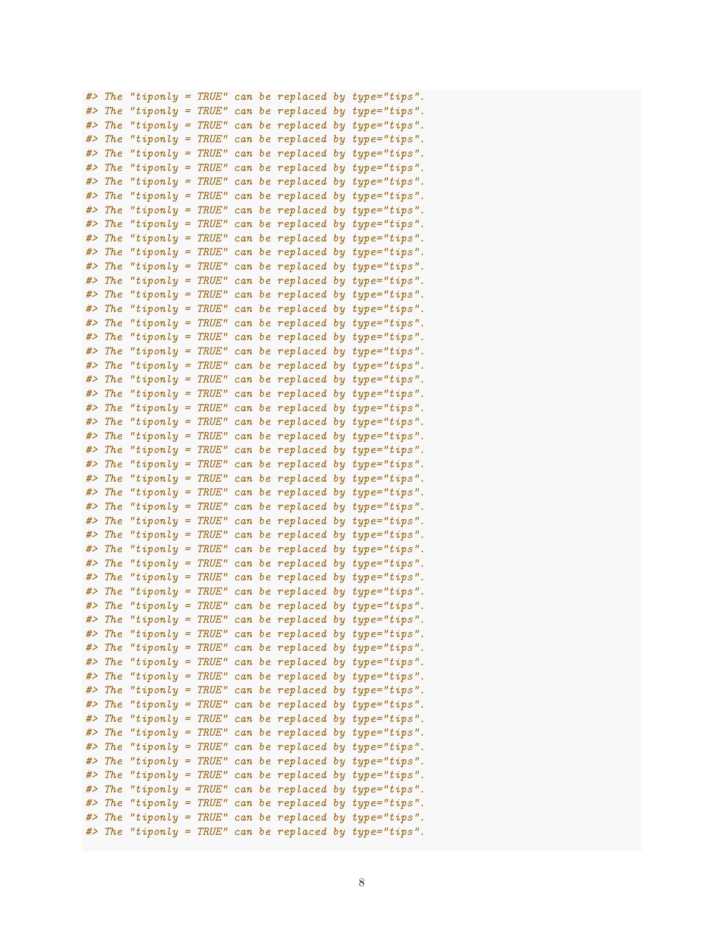| #> | <b>The</b> | "tiponly = $TRUE"$         |                                |              |     |                    | can be replaced by type="tips". |
|----|------------|----------------------------|--------------------------------|--------------|-----|--------------------|---------------------------------|
| #> | The        | "tiponly $=$               |                                | TRUE"        |     |                    | can be replaced by type="tips". |
| #> | The        | " $tiponly =$              |                                | <i>TRUE"</i> |     |                    | can be replaced by type="tips". |
| #> | The        | " $tiponly =$              |                                | <i>TRUE"</i> | can |                    | be replaced by type="tips".     |
| #> | The        | " $tiponly =$              |                                | <b>TRUE"</b> | can |                    | be replaced by type="tips".     |
| #> | The        | " $tiponly =$              |                                | <b>TRUE"</b> | can |                    | be replaced by type="tips".     |
| #> | The        | " $tiponly =$              |                                | <i>TRUE"</i> | can |                    | be replaced by type="tips".     |
| #> | <b>The</b> | " $tiponly =$              |                                | <i>TRUE"</i> | can |                    | be replaced by type="tips".     |
| #> | The        | " $tiponly =$              |                                | TRUE"        | can |                    | be replaced by type="tips".     |
| #> | The        | " $tiponly =$              |                                | TRUE"        | can |                    | be replaced by type="tips".     |
| #> | <b>The</b> | "tiponly $=$               |                                | <b>TRUE"</b> | can |                    | be replaced by type="tips".     |
| #> | The        | " $tiponly =$              |                                | <b>TRUE"</b> | can |                    | be replaced by type="tips".     |
| #> | The        | "tip only                  | $\qquad \qquad =\qquad \qquad$ | <b>TRUE"</b> | can |                    | be replaced by type="tips".     |
| #> | The        | "tip only                  | $\qquad \qquad =\qquad \qquad$ | <b>TRUE"</b> | can |                    | be replaced by type="tips".     |
| #> | The        | "tip only                  | $\qquad \qquad =\qquad \qquad$ | <b>TRUE"</b> | can |                    | be replaced by type="tips".     |
| #> | The        |                            | $\qquad \qquad =\qquad \qquad$ |              |     |                    |                                 |
| #> |            | "tip only                  |                                | <b>TRUE"</b> | can |                    | be replaced by type="tips".     |
| #> | The        | "tip only<br>" $tiponly =$ | $\qquad \qquad =\qquad \qquad$ | <b>TRUE"</b> | can |                    | be replaced by type="tips".     |
|    | <b>The</b> |                            |                                | <b>TRUE"</b> | can |                    | be replaced by type="tips".     |
| #> | The        | " $tiponly =$              |                                | <b>TRUE"</b> | can |                    | be replaced by type="tips".     |
| #> | The        | " $tiponly =$              |                                | <b>TRUE"</b> | can |                    | be replaced by type="tips".     |
| #> | The        | " $tiponly =$              |                                | <b>TRUE"</b> | can | be replaced by     | $type="tips"$ .                 |
| #> | The        | " $tiponly =$              |                                | <b>TRUE"</b> | can | be replaced by     | $type="tips"$ .                 |
| #> | The        | " $tiponly =$              |                                | <b>TRUE"</b> | can | be replaced by     | $type="tips"$ .                 |
| #> | The        | " $tiponly =$              |                                | <b>TRUE"</b> | can | be replaced by     | $type="tips"$ .                 |
| #> | The        | " $tiponly =$              |                                | <b>TRUE"</b> | can | be replaced by     | $type="tips"$ .                 |
| #> | The        | "tip only                  | $\equiv$                       | TRUE"        | can | be replaced by     | $type="tips"$ .                 |
| #> | <b>The</b> | "tip only                  | $\equiv$                       | <b>TRUE"</b> | can | be replaced by     | $type="tips"$ .                 |
| #> | The        | "tip only                  | $=$                            | <b>TRUE"</b> | can | be replaced by     | $type="tips"$ .                 |
| #> | The        | "tip only                  | =                              | <b>TRUE"</b> | can | be replaced by     | $type="tips"$ .                 |
| #> | <b>The</b> | "tiponly                   | =                              | TRUE"        | can | be replaced by     | $type="tips"$ .                 |
| #> | The        | "tiponly                   | =                              | TRUE"        | can | be replaced by     | $type="tips"$ .                 |
| #> | The        | "tiponly                   | =                              | TRUE"        | can | be replaced by     | $type="tips"$ .                 |
| #> | The        | "tiponly                   | =                              | <b>TRUE"</b> | can | be replaced by     | $type="tips"$ .                 |
| #> | <b>The</b> | "tiponly                   | =                              | TRUE"        | can |                    | be replaced by type="tips".     |
| #> | <b>The</b> | "tiponly                   | $=$                            | TRUE"        | can |                    | be replaced by type="tips".     |
| #> | <b>The</b> | "tiponly                   | $\equiv$                       | TRUE"        | can |                    | be replaced by type="tips".     |
| #> | The        | "tiponly $=$               |                                | TRUE"        |     | can be replaced by | $type="tips"$ .                 |
| #> | The        | "tiponly = $TRUE"$         |                                |              |     |                    | can be replaced by type="tips". |
| #> | The        | "tiponly =                 |                                | <b>TRUE"</b> |     | can be replaced by | $type="tips"$ .                 |
| #> | The        | " $tiponly =$              |                                | <b>TRUE"</b> |     | can be replaced by | $type="tips"$ .                 |
| #> | The        | " $tiponly =$              |                                | TRUE"        | can | be replaced by     | $type="tips"$ .                 |
| #> | <b>The</b> | "tip only                  | $=$                            | TRUE"        | can | be replaced by     | $type="tips"$ .                 |
| #> | <b>The</b> | "tip only                  | $=$                            | TRUE"        | can | be replaced by     | $type="tips"$ .                 |
| #> | <b>The</b> | "tiponly                   | Ξ                              | <b>TRUE"</b> | can | be replaced by     | $type="tips"$ .                 |
| #> | <b>The</b> | "tip only                  | Ξ                              | TRUE"        | can | be replaced by     | $type="tips"$ .                 |
| #> | The        | "tip only                  | Ξ                              | TRUE"        | can | be replaced by     | $type="tips"$ .                 |
| #> | The        | "tip only                  | Ξ                              | TRUE"        | can | be replaced by     | $type="tips"$ .                 |
| #> | The        | "tip only                  | Ξ                              | TRUE"        | can | be replaced by     | $type="tips"$ .                 |
| #> | The        | "tip only                  | Ξ                              | TRUE"        | can | be replaced by     | $type="tips"$ .                 |
| #> | The        | "tip only                  | Ξ                              | TRUE"        |     | be replaced by     | $type="tips"$ .                 |
| #> | The        |                            | $=$                            | TRUE"        | can | be replaced by     | $type="tips"$ .                 |
| #> | The        | "tip only                  | $=$                            | TRUE"        | can |                    |                                 |
|    |            | "tip only                  |                                |              | can | be replaced by     | $type="tips"$ .                 |
| #> | <b>The</b> | "tiponly $=$               |                                | TRUE"        | can | be replaced by     | $type="tips"$ .                 |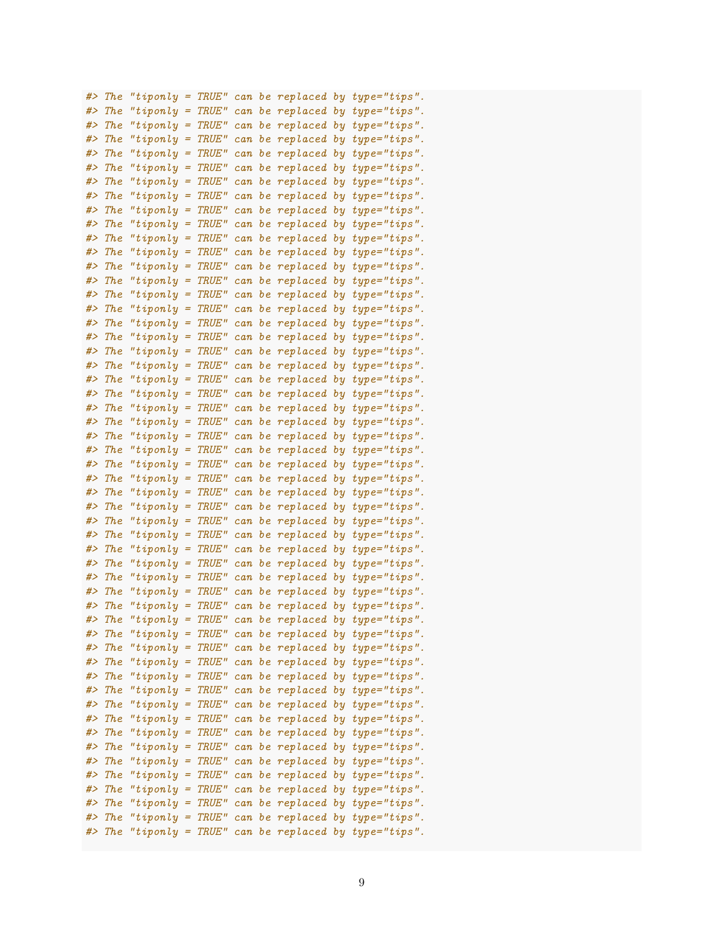| #> | <b>The</b> | "tiponly $=$        |     | TRUE"        |        |    |                    |    | can be replaced by type="tips". |
|----|------------|---------------------|-----|--------------|--------|----|--------------------|----|---------------------------------|
| #> | The        | "tip only           | $=$ | TRUE"        |        |    |                    |    | can be replaced by type="tips". |
| #> | The        | "tip only           | $=$ | TRUE"        |        |    |                    |    | can be replaced by type="tips". |
| #> | The        | "tip only           | $=$ | TRUE"        |        |    |                    |    | can be replaced by type="tips". |
| #> | The        | "tip only           | $=$ | TRUE"        | can    |    |                    |    | be replaced by type="tips".     |
| #> | The        | "tip only           | $=$ | TRUE"        | can    |    | be replaced by     |    | $type="tips"$ .                 |
| #> | The        | "tip only           | $=$ | TRUE"        | can    |    | be replaced by     |    | $type="tips"$ .                 |
| #> | The        | "tip only           | $=$ | TRUE"        | can    |    | be replaced by     |    | $type="tips"$ .                 |
| #> | The        | "tip only           | $=$ | TRUE"        | can    |    |                    |    | be replaced by type="tips".     |
| #> | The        | "tiponly            | $=$ | TRUE"        | can    |    | be replaced by     |    | $type="tips"$ .                 |
| #> | The        | "tiponly            | $=$ | TRUE"        | can    |    |                    |    | be replaced by type="tips".     |
| #> | The        | "tip only           | =   | <b>TRUE"</b> | can    |    |                    |    | be replaced by type="tips".     |
| #> | The        | "tip only           | =   | <b>TRUE"</b> | can    |    |                    |    | be replaced by type="tips".     |
| #> | The        | "tiponly            | =   | TRUE"        | can    |    |                    |    | be replaced by type="tips".     |
| #> | The        | "tiponly            | =   | TRUE"        | can    |    | be replaced by     |    | $type="tips"$ .                 |
| #> | The        | "tiponly            | =   | TRUE"        | can    |    | be replaced by     |    | $type="tips"$ .                 |
| #> | The        | "tiponly            | =   | TRUE"        | can    |    | be replaced by     |    | $type="tips"$ .                 |
| #> | The        | "tip only           | =   | <b>TRUE"</b> | can    |    | be replaced by     |    | $type="tips"$ .                 |
| #> | The        | "tiponly            | =   | <b>TRUE"</b> |        |    | can be replaced by |    | $type="tips"$ .                 |
| #> | The        |                     |     | TRUE"        |        |    |                    |    |                                 |
|    |            | "tiponly            | =   | TRUE"        | $c$ an |    | be replaced by     |    | $type="tips"$ .                 |
| #> | The        | "tiponly            | =   |              | can    |    | be replaced by     |    | $type="tips"$ .                 |
| #> | The        | "tiponly            | =   | TRUE"        | can    |    | be replaced by     |    | $type="tips"$ .                 |
| #> | The        | "tiponly            | =   | TRUE"        | can    |    | be replaced by     |    | $type="tips"$ .                 |
| #> | The        | "tiponly            | =   | TRUE"        | can    |    | be replaced by     |    | $type="tips"$ .                 |
| #> | The        | "tiponly            | =   | TRUE"        | can    |    | be replaced by     |    | $type="tips"$ .                 |
| #> | The        | "tiponly            | =   | TRUE"        | can    |    | be replaced by     |    | $type="tips"$ .                 |
| #> | <b>The</b> | "tip only           | =   | TRUE"        | can    |    | be replaced by     |    | $type="tips"$ .                 |
| #> | The        | "tiponly            | =   | TRUE"        | can    | be | replaced by        |    | $type="tips"$ .                 |
| #> | The        | "tiponly            | =   | TRUE"        | can    | bе | replaced by        |    | $type="tips"$ .                 |
| #> | The        | "tiponly            | =   | TRUE"        | can    | bе | replaced by        |    | $type="tips"$ .                 |
| #> | The        | "tiponly            | =   | TRUE"        | can    | bе | replaced by        |    | $type="tips"$ .                 |
| #> | The        | "tiponly            | =   | TRUE"        | can    | bе | replaced by        |    | $type="tips"$ .                 |
| #> | The        | "tiponly            | =   | TRUE"        | can    | bе | replaced by        |    | $type="tips"$ .                 |
| #> | The        | "tiponly            | =   | TRUE"        | can    | bе | replaced by        |    | $type="tips"$ .                 |
| #> | <b>The</b> | "tiponly            | Ξ   | TRUE"        | can    | be | replaced by        |    | $type="tips"$ .                 |
| #> | <b>The</b> | "tiponly            | Ξ   | TRUE"        | can    | be | replaced by        |    | $type="tips"$ .                 |
| #> | The        | "tip only           | Ξ   | TRUE"        |        |    |                    |    | can be replaced by type="tips". |
| #> | The        | " $tiponly$ = TRUE" |     |              |        |    |                    |    | can be replaced by type="tips"  |
| #> | <b>The</b> | "tiponly =          |     | <b>TRUE"</b> |        |    | can be replaced by |    | $type="tips"$ .                 |
| #> | The        | "tip only           | =   | TRUE"        |        |    | can be replaced by |    | $type="tips"$ .                 |
| #> | The        | "tip only           | =   | TRUE"        |        |    | can be replaced by |    | $type="tips"$ .                 |
| #> | The        | "tip only           | Ξ   | TRUE"        |        |    | can be replaced by |    | $type="tips"$ .                 |
| #> | The        | "tiponly            | Ξ   | TRUE"        |        |    | can be replaced by |    | $type="tips"$ .                 |
| #> | <b>The</b> | "tiponly            | Ξ   | TRUE"        |        |    | can be replaced by |    | $type="tips"$ .                 |
| #> | The        | "tip only           | =   | TRUE"        |        |    | can be replaced by |    | $type="tips"$ .                 |
| #> | The        | "tip only           | =   | TRUE"        |        |    | can be replaced by |    | $type="tips"$ .                 |
| #> | The        | "tip only           | =   | TRUE"        |        |    | can be replaced by |    | $type="tips"$ .                 |
| #> | The        | "tip only           | =   | TRUE"        |        |    | can be replaced by |    | $type="tips"$ .                 |
| #> | The        | "tip only           | =   | TRUE"        | can    |    | be replaced by     |    | $type="tips"$ .                 |
| #> | The        | "tip only           | =   | TRUE"        | can    |    | be replaced by     |    | $type="tips"$ .                 |
| #> | The        | "tip only           | =   | TRUE"        | can    |    | be replaced by     |    | $type="tips"$ .                 |
| #> | The        | "tiponly            | =   | TRUE"        | can    |    | be replaced        | by | $type="tips"$ .                 |
| #> | <b>The</b> | "tip only           | $=$ | TRUE"        | can    |    | be replaced by     |    | $type="tips"$ .                 |
|    |            |                     |     |              |        |    |                    |    |                                 |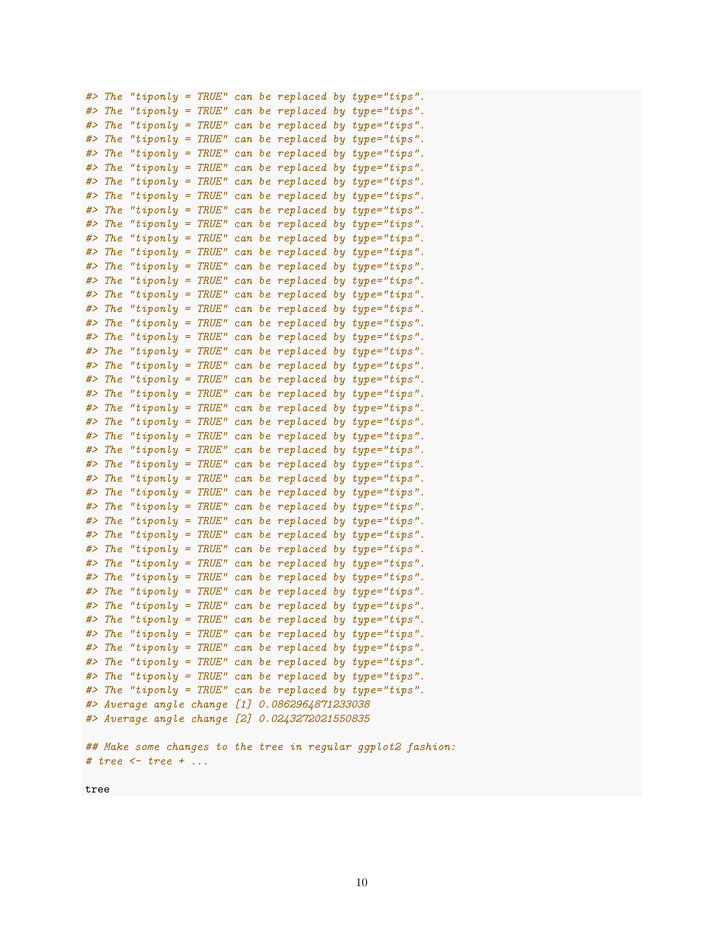```
#> The "tiponly = TRUE" can be replaced by type="tips".
#> The "tiponly = TRUE" can be replaced by type="tips".
#> The "tiponly = TRUE" can be replaced by type="tips".
#> The "tiponly = TRUE" can be replaced by type="tips".
#> The "tiponly = TRUE" can be replaced by type="tips".
#> The "tiponly = TRUE" can be replaced by type="tips".
#> The "tiponly = TRUE" can be replaced by type="tips".
#> The "tiponly = TRUE" can be replaced by type="tips".
#> The "tiponly = TRUE" can be replaced by type="tips".
#> The "tiponly = TRUE" can be replaced by type="tips".
#> The "tiponly = TRUE" can be replaced by type="tips".
#> The "tiponly = TRUE" can be replaced by type="tips".
#> The "tiponly = TRUE" can be replaced by type="tips".
#> The "tiponly = TRUE" can be replaced by type="tips".
#> The "tiponly = TRUE" can be replaced by type="tips".
#> The "tiponly = TRUE" can be replaced by type="tips".
#> The "tiponly = TRUE" can be replaced by type="tips".
#> The "tiponly = TRUE" can be replaced by type="tips".
#> The "tiponly = TRUE" can be replaced by type="tips".
#> The "tiponly = TRUE" can be replaced by type="tips".
#> The "tiponly = TRUE" can be replaced by type="tips".
#> The "tiponly = TRUE" can be replaced by type="tips".
#> The "tiponly = TRUE" can be replaced by type="tips".
#> The "tiponly = TRUE" can be replaced by type="tips".
#> The "tiponly = TRUE" can be replaced by type="tips".
#> The "tiponly = TRUE" can be replaced by type="tips".
#> The "tiponly = TRUE" can be replaced by type="tips".
#> The "tiponly = TRUE" can be replaced by type="tips".
#> The "tiponly = TRUE" can be replaced by type="tips".
#> The "tiponly = TRUE" can be replaced by type="tips".
#> The "tiponly = TRUE" can be replaced by type="tips".
#> The "tiponly = TRUE" can be replaced by type="tips".
#> The "tiponly = TRUE" can be replaced by type="tips".
#> The "tiponly = TRUE" can be replaced by type="tips".
#> The "tiponly = TRUE" can be replaced by type="tips".
#> The "tiponly = TRUE" can be replaced by type="tips".
#> The "tiponly = TRUE" can be replaced by type="tips".
#> The "tiponly = TRUE" can be replaced by type="tips".
#> The "tiponly = TRUE" can be replaced by type="tips".
#> The "tiponly = TRUE" can be replaced by type="tips".
#> The "tiponly = TRUE" can be replaced by type="tips".
#> The "tiponly = TRUE" can be replaced by type="tips".
#> The "tiponly = TRUE" can be replaced by type="tips".
#> Average angle change [1] 0.0862964871233038
#> Average angle change [2] 0.0243272021550835
## Make some changes to the tree in regular ggplot2 fashion:
# tree <- tree + ...
```
tree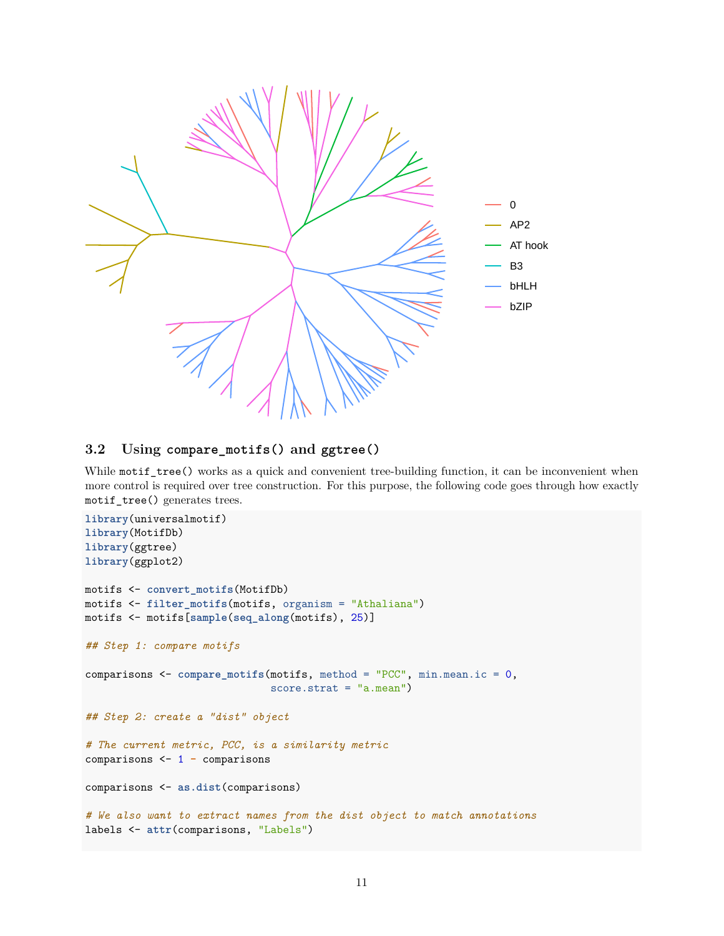

### <span id="page-10-0"></span>**3.2 Using compare\_motifs() and ggtree()**

While motif\_tree() works as a quick and convenient tree-building function, it can be inconvenient when more control is required over tree construction. For this purpose, the following code goes through how exactly motif\_tree() generates trees.

```
library(universalmotif)
library(MotifDb)
library(ggtree)
library(ggplot2)
motifs <- convert_motifs(MotifDb)
motifs <- filter_motifs(motifs, organism = "Athaliana")
motifs <- motifs[sample(seq_along(motifs), 25)]
## Step 1: compare motifs
comparisons <- compare_motifs(motifs, method = "PCC", min.mean.ic = 0,
                              score.strat = "a.mean")
## Step 2: create a "dist" object
# The current metric, PCC, is a similarity metric
comparisons <- 1 - comparisons
comparisons <- as.dist(comparisons)
# We also want to extract names from the dist object to match annotations
labels <- attr(comparisons, "Labels")
```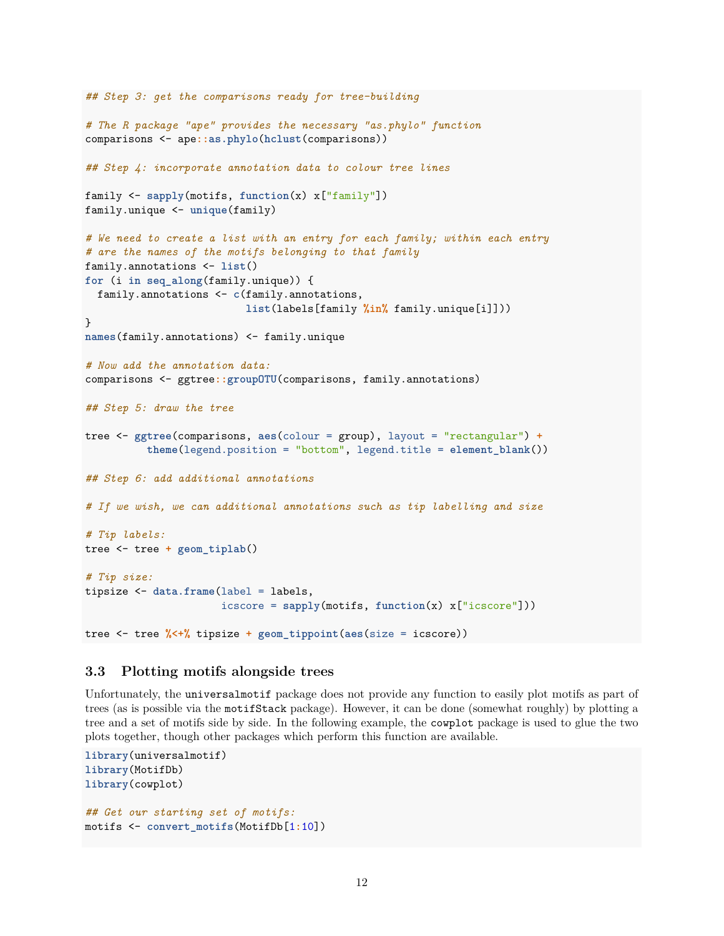```
## Step 3: get the comparisons ready for tree-building
# The R package "ape" provides the necessary "as.phylo" function
comparisons <- ape::as.phylo(hclust(comparisons))
## Step 4: incorporate annotation data to colour tree lines
family <- sapply(motifs, function(x) x["family"])
family.unique <- unique(family)
# We need to create a list with an entry for each family; within each entry
# are the names of the motifs belonging to that family
family.annotations <- list()
for (i in seq_along(family.unique)) {
  family.annotations <- c(family.annotations,
                          list(labels[family %in% family.unique[i]]))
}
names(family.annotations) <- family.unique
# Now add the annotation data:
comparisons <- ggtree::groupOTU(comparisons, family.annotations)
## Step 5: draw the tree
tree <- ggtree(comparisons, aes(colour = group), layout = "rectangular") +
          theme(legend.position = "bottom", legend.title = element_blank())
## Step 6: add additional annotations
# If we wish, we can additional annotations such as tip labelling and size
# Tip labels:
tree <- tree + geom_tiplab()
# Tip size:
tipsize <- data.frame(label = labels,
                      icscore = sapply(motifs, function(x) x["icscore"]))
tree <- tree %<+% tipsize + geom_tippoint(aes(size = icscore))
```
#### <span id="page-11-0"></span>**3.3 Plotting motifs alongside trees**

Unfortunately, the universalmotif package does not provide any function to easily plot motifs as part of trees (as is possible via the motifStack package). However, it can be done (somewhat roughly) by plotting a tree and a set of motifs side by side. In the following example, the cowplot package is used to glue the two plots together, though other packages which perform this function are available.

```
library(universalmotif)
library(MotifDb)
library(cowplot)
## Get our starting set of motifs:
motifs <- convert_motifs(MotifDb[1:10])
```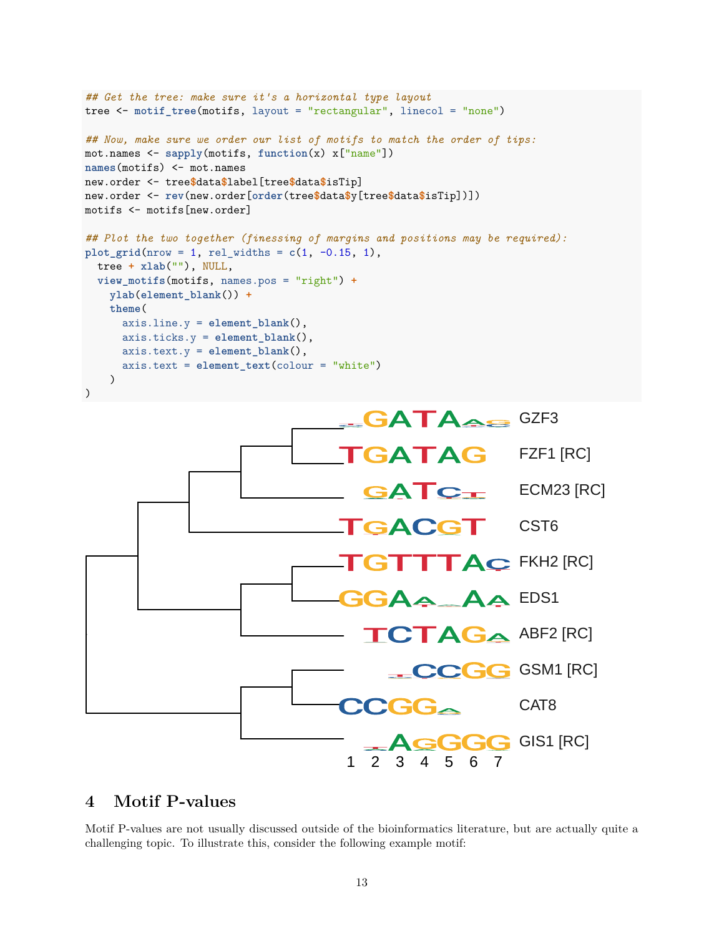```
## Get the tree: make sure it's a horizontal type layout
tree <- motif_tree(motifs, layout = "rectangular", linecol = "none")
## Now, make sure we order our list of motifs to match the order of tips:
mot.names <- sapply(motifs, function(x) x["name"])
names(motifs) <- mot.names
new.order <- tree$data$label[tree$data$isTip]
new.order <- rev(new.order[order(tree$data$y[tree$data$isTip])])
motifs <- motifs[new.order]
## Plot the two together (finessing of margins and positions may be required):
plot_grid(nrow = 1, rel_vidths = c(1, -0.15, 1),tree + xlab(""), NULL,
  view_motifs(motifs, names.pos = "right") +
    ylab(element_blank()) +
    theme(
      axis.line.y = element_blank(),
      axis.ticks.y = element_blank(),
      axis.text.y = element_blank(),
      axis.text = element_text(colour = "white")
    )
\lambda
```


# <span id="page-12-0"></span>**4 Motif P-values**

Motif P-values are not usually discussed outside of the bioinformatics literature, but are actually quite a challenging topic. To illustrate this, consider the following example motif: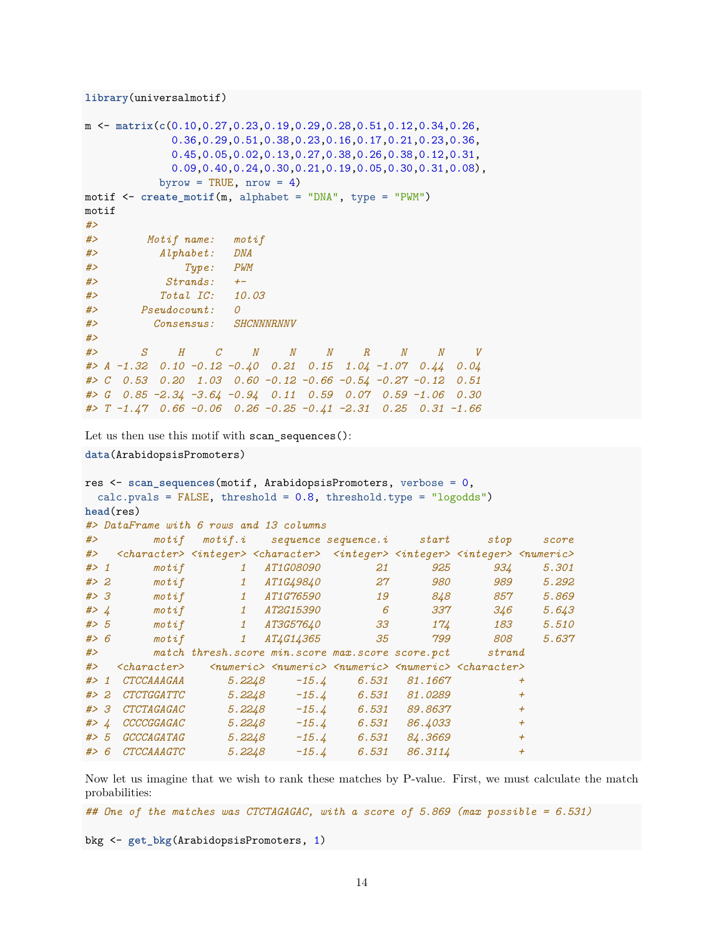```
library(universalmotif)
```

```
m <- matrix(c(0.10,0.27,0.23,0.19,0.29,0.28,0.51,0.12,0.34,0.26,
            0.36,0.29,0.51,0.38,0.23,0.16,0.17,0.21,0.23,0.36,
            0.45,0.05,0.02,0.13,0.27,0.38,0.26,0.38,0.12,0.31,
            0.09,0.40,0.24,0.30,0.21,0.19,0.05,0.30,0.31,0.08),
          byrow = TRUE, nrow = 4)
motif \leq create motif(m, alphabet = "DNA", type = "PWM")
motif
#>
#> Motif name: motif
#> Alphabet: DNA
#> Type: PWM
#> Strands: +-
#> Total IC: 10.03
#> Pseudocount: 0
#> Consensus: SHCNNNRNNV
#>
#> S H C N N N R N N V
#> A -1.32 0.10 -0.12 -0.40 0.21 0.15 1.04 -1.07 0.44 0.04
#> C 0.53 0.20 1.03 0.60 -0.12 -0.66 -0.54 -0.27 -0.12 0.51
#> G 0.85 -2.34 -3.64 -0.94 0.11 0.59 0.07 0.59 -1.06 0.30
#> T -1.47 0.66 -0.06 0.26 -0.25 -0.41 -2.31 0.25 0.31 -1.66
```
Let us then use this motif with scan\_sequences():

```
data(ArabidopsisPromoters)
```

```
res <- scan_sequences(motif, ArabidopsisPromoters, verbose = 0,
 calc.pvals = FALSE, threshold = 0.8, threshold.type = "logodds")
head(res)
#> DataFrame with 6 rows and 13 columns
#> motif motif.i sequence sequence.i start stop score
#> <character> <integer> <character> <integer> <integer> <integer> <numeric>
#> 1 motif 1 AT1G08090 21 925 934 5.301
#> 2 motif 1 AT1G49840 27 980 989 5.292
#> 3 motif 1 AT1G76590 19 848 857 5.869
#> 4 motif 1 AT2G15390 6 337 346 5.643
#> 5 motif 1 AT3G57640 33 174 183 5.510
#> 6 motif 1 AT4G14365 35 799 808 5.637
#> match thresh.score min.score max.score score.pct strand
#> <character> <numeric> <numeric> <numeric> <numeric> <character>
#> 1 CTCCAAAGAA 5.2248 -15.4 6.531 81.1667 +
#> 2 CTCTGGATTC 5.2248 -15.4 6.531 81.0289 +
#> 3 CTCTAGAGAC 5.2248 -15.4 6.531 89.8637 +
#> 4 CCCCGGAGAC 5.2248 -15.4 6.531 86.4033 +
#> 5 GCCCAGATAG 5.2248 -15.4 6.531 84.3669 +
#> 6 CTCCAAAGTC 5.2248 -15.4 6.531 86.3114 +
```
Now let us imagine that we wish to rank these matches by P-value. First, we must calculate the match probabilities:

*## One of the matches was CTCTAGAGAC, with a score of 5.869 (max possible = 6.531)*

bkg <- **get\_bkg**(ArabidopsisPromoters, 1)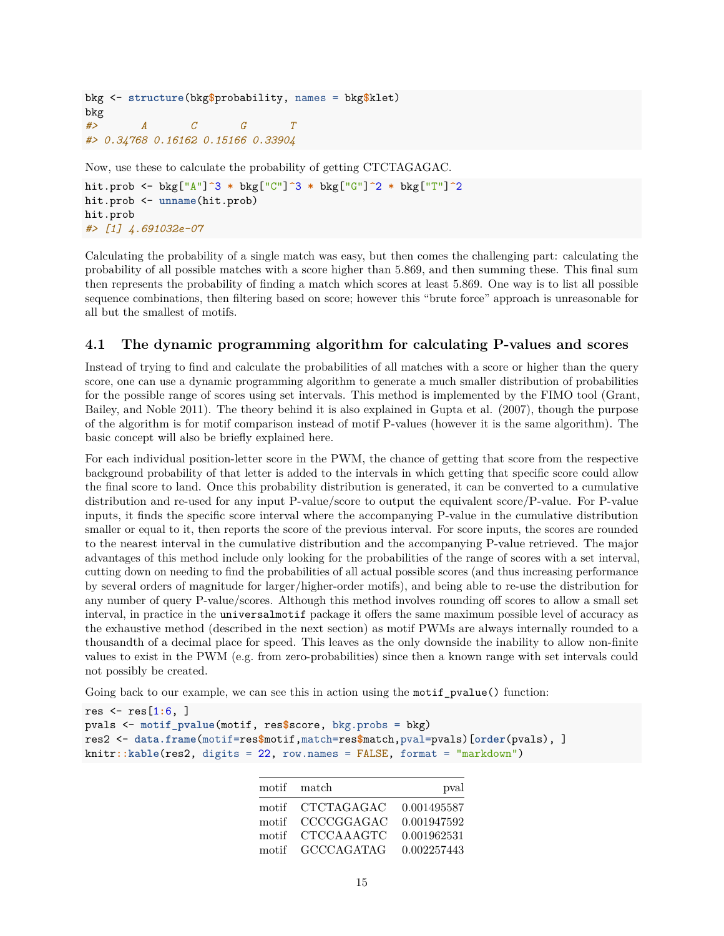```
bkg <- structure(bkg$probability, names = bkg$klet)
bkg
#> A C G T
#> 0.34768 0.16162 0.15166 0.33904
```
Now, use these to calculate the probability of getting CTCTAGAGAC.

```
hit.prob <- bkg["A"]^3 * bkg["C"]^3 * bkg["G"]^2 * bkg["T"]^2
hit.prob <- unname(hit.prob)
hit.prob
#> [1] 4.691032e-07
```
Calculating the probability of a single match was easy, but then comes the challenging part: calculating the probability of all possible matches with a score higher than 5.869, and then summing these. This final sum then represents the probability of finding a match which scores at least 5.869. One way is to list all possible sequence combinations, then filtering based on score; however this "brute force" approach is unreasonable for all but the smallest of motifs.

### <span id="page-14-0"></span>**4.1 The dynamic programming algorithm for calculating P-values and scores**

Instead of trying to find and calculate the probabilities of all matches with a score or higher than the query score, one can use a dynamic programming algorithm to generate a much smaller distribution of probabilities for the possible range of scores using set intervals. This method is implemented by the FIMO tool (Grant, Bailey, and Noble 2011). The theory behind it is also explained in Gupta et al. (2007), though the purpose of the algorithm is for motif comparison instead of motif P-values (however it is the same algorithm). The basic concept will also be briefly explained here.

For each individual position-letter score in the PWM, the chance of getting that score from the respective background probability of that letter is added to the intervals in which getting that specific score could allow the final score to land. Once this probability distribution is generated, it can be converted to a cumulative distribution and re-used for any input P-value/score to output the equivalent score/P-value. For P-value inputs, it finds the specific score interval where the accompanying P-value in the cumulative distribution smaller or equal to it, then reports the score of the previous interval. For score inputs, the scores are rounded to the nearest interval in the cumulative distribution and the accompanying P-value retrieved. The major advantages of this method include only looking for the probabilities of the range of scores with a set interval, cutting down on needing to find the probabilities of all actual possible scores (and thus increasing performance by several orders of magnitude for larger/higher-order motifs), and being able to re-use the distribution for any number of query P-value/scores. Although this method involves rounding off scores to allow a small set interval, in practice in the universalmotif package it offers the same maximum possible level of accuracy as the exhaustive method (described in the next section) as motif PWMs are always internally rounded to a thousandth of a decimal place for speed. This leaves as the only downside the inability to allow non-finite values to exist in the PWM (e.g. from zero-probabilities) since then a known range with set intervals could not possibly be created.

Going back to our example, we can see this in action using the motif pvalue() function:

```
res <- res[1:6, ]
pvals <- motif_pvalue(motif, res$score, bkg.probs = bkg)
res2 <- data.frame(motif=res$motif,match=res$match,pval=pvals)[order(pvals), ]
knitr::kable(res2, digits = 22, row.names = FALSE, format = "markdown")
```

|       | motif match       | pval        |
|-------|-------------------|-------------|
|       | motif CTCTAGAGAC  | 0.001495587 |
|       | motif CCCCGGAGAC  | 0.001947592 |
| motif | <b>CTCCAAAGTC</b> | 0.001962531 |
|       | motif GCCCAGATAG  | 0.002257443 |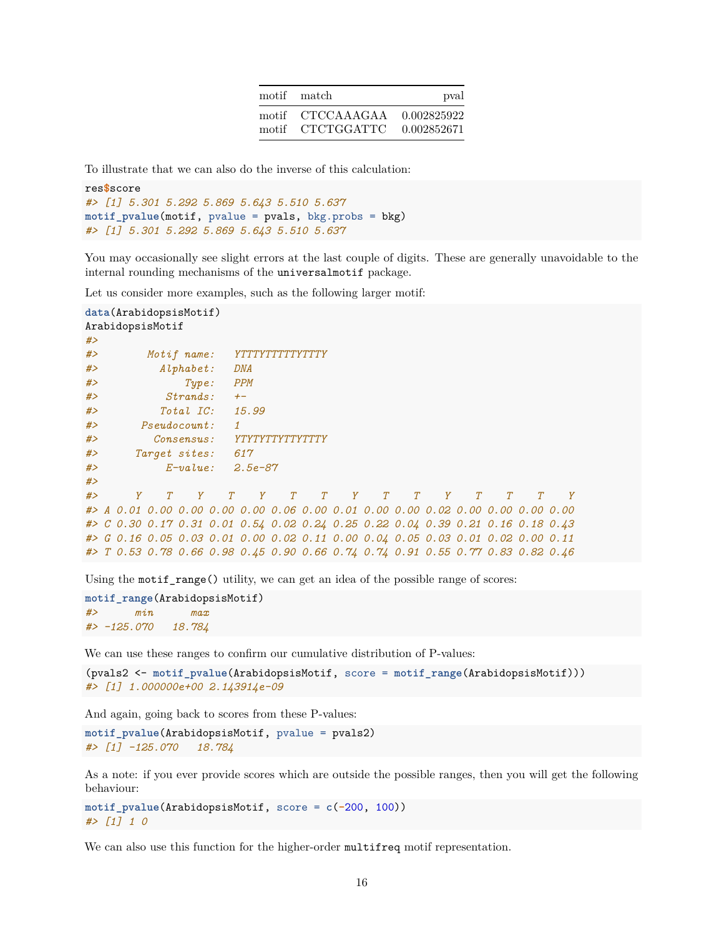| motif match                  | pval        |
|------------------------------|-------------|
| motif CTCCAAAGAA 0.002825922 |             |
| motif CTCTGGATTC             | 0.002852671 |

To illustrate that we can also do the inverse of this calculation:

```
res$score
#> [1] 5.301 5.292 5.869 5.643 5.510 5.637
motif_pvalue(motif, pvalue = pvals, bkg.probs = bkg)
#> [1] 5.301 5.292 5.869 5.643 5.510 5.637
```
You may occasionally see slight errors at the last couple of digits. These are generally unavoidable to the internal rounding mechanisms of the universalmotif package.

Let us consider more examples, such as the following larger motif:

```
data(ArabidopsisMotif)
ArabidopsisMotif
#>
#> Motif name: YTTTYTTTTTYTTTY
#> Alphabet: DNA
#> Type: PPM
#> Strands: +-
#> Total IC: 15.99
#> Pseudocount: 1
#> Consensus: YTYTYTTYTTYTTTY
#> Target sites: 617
#> E-value: 2.5e-87
#>
#> Y T Y T Y T T Y T T Y T T T Y
#> A 0.01 0.00 0.00 0.00 0.00 0.06 0.00 0.01 0.00 0.00 0.02 0.00 0.00 0.00 0.00
#> C 0.30 0.17 0.31 0.01 0.54 0.02 0.24 0.25 0.22 0.04 0.39 0.21 0.16 0.18 0.43
#> G 0.16 0.05 0.03 0.01 0.00 0.02 0.11 0.00 0.04 0.05 0.03 0.01 0.02 0.00 0.11
#> T 0.53 0.78 0.66 0.98 0.45 0.90 0.66 0.74 0.74 0.91 0.55 0.77 0.83 0.82 0.46
```
Using the motif  $range()$  utility, we can get an idea of the possible range of scores:

```
motif_range(ArabidopsisMotif)
#> min max
#> -125.070 18.784
```
We can use these ranges to confirm our cumulative distribution of P-values:

```
(pvals2 <- motif_pvalue(ArabidopsisMotif, score = motif_range(ArabidopsisMotif)))
#> [1] 1.000000e+00 2.143914e-09
```
And again, going back to scores from these P-values:

```
motif_pvalue(ArabidopsisMotif, pvalue = pvals2)
#> [1] -125.070 18.784
```
As a note: if you ever provide scores which are outside the possible ranges, then you will get the following behaviour:

```
motif_pvalue(ArabidopsisMotif, score = c(-200, 100))
#> [1] 1 0
```
We can also use this function for the higher-order multifreq motif representation.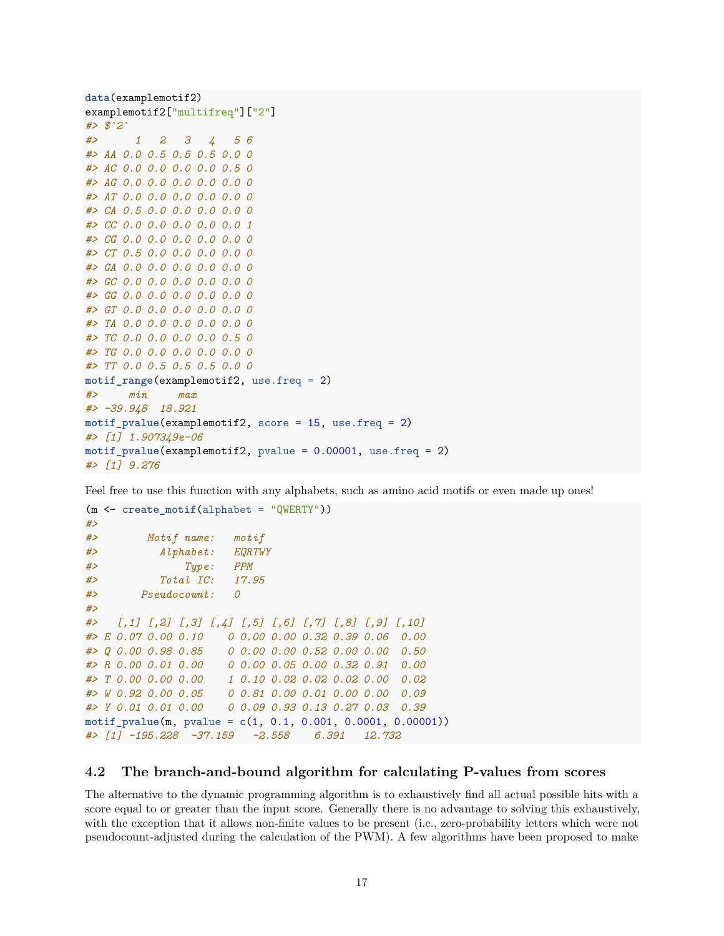```
data(examplemotif2)
examplemotif2["multifreq"]["2"]
#> $`2`
#> 1 2 3 4 5 6
#> AA 0.0 0.5 0.5 0.5 0.0 0
#> AC 0.0 0.0 0.0 0.0 0.5 0
#> AG 0.0 0.0 0.0 0.0 0.0 0
#> AT 0.0 0.0 0.0 0.0 0.0 0
#> CA 0.5 0.0 0.0 0.0 0.0 0
#> CC 0.0 0.0 0.0 0.0 0.0 1
#> CG 0.0 0.0 0.0 0.0 0.0 0
#> CT 0.5 0.0 0.0 0.0 0.0 0
#> GA 0.0 0.0 0.0 0.0 0.0 0
#> GC 0.0 0.0 0.0 0.0 0.0 0
#> GG 0.0 0.0 0.0 0.0 0.0 0
#> GT 0.0 0.0 0.0 0.0 0.0 0
#> TA 0.0 0.0 0.0 0.0 0.0 0
#> TC 0.0 0.0 0.0 0.0 0.5 0
#> TG 0.0 0.0 0.0 0.0 0.0 0
#> TT 0.0 0.5 0.5 0.5 0.0 0
motif range(examplemotif2, use.freq = 2)
#> min max
#> -39.948 18.921
motif_pvalue(examplemotif2, score = 15, use.freq = 2)
#> [1] 1.907349e-06
motif_pvalue(examplemotif2, pvalue = 0.00001, use.freq = 2)
#> [1] 9.276
```
Feel free to use this function with any alphabets, such as amino acid motifs or even made up ones!

```
(m <- create_motif(alphabet = "QWERTY"))
#>
#> Motif name: motif
#> Alphabet: EQRTWY
#> Type: PPM
#> Total IC: 17.95
#> Pseudocount: 0
#>
#> [,1] [,2] [,3] [,4] [,5] [,6] [,7] [,8] [,9] [,10]
#> E 0.07 0.00 0.10 0 0.00 0.00 0.32 0.39 0.06 0.00
#> Q 0.00 0.98 0.85 0 0.00 0.00 0.52 0.00 0.00 0.50
#> R 0.00 0.01 0.00 0 0.00 0.05 0.00 0.32 0.91 0.00
#> T 0.00 0.00 0.00 1 0.10 0.02 0.02 0.02 0.00 0.02
#> W 0.92 0.00 0.05 0 0.81 0.00 0.01 0.00 0.00 0.09
#> Y 0.01 0.01 0.00 0 0.09 0.93 0.13 0.27 0.03 0.39
motif_pvalue(m, pvalue = c(1, 0.1, 0.001, 0.0001, 0.00001))
#> [1] -195.228 -37.159 -2.558 6.391 12.732
```
#### <span id="page-16-0"></span>**4.2 The branch-and-bound algorithm for calculating P-values from scores**

The alternative to the dynamic programming algorithm is to exhaustively find all actual possible hits with a score equal to or greater than the input score. Generally there is no advantage to solving this exhaustively, with the exception that it allows non-finite values to be present (i.e., zero-probability letters which were not pseudocount-adjusted during the calculation of the PWM). A few algorithms have been proposed to make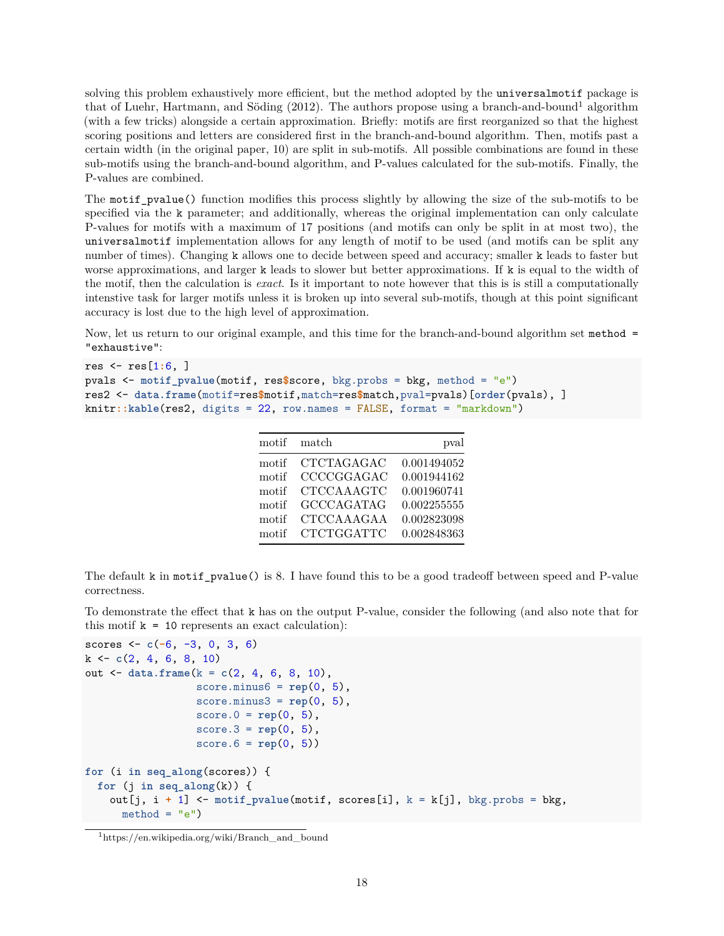solving this problem exhaustively more efficient, but the method adopted by the universalmotif package is that of Luehr, Hartmann, and Söding  $(2012)$  $(2012)$  $(2012)$ . The authors propose using a branch-and-bound<sup>1</sup> algorithm (with a few tricks) alongside a certain approximation. Briefly: motifs are first reorganized so that the highest scoring positions and letters are considered first in the branch-and-bound algorithm. Then, motifs past a certain width (in the original paper, 10) are split in sub-motifs. All possible combinations are found in these sub-motifs using the branch-and-bound algorithm, and P-values calculated for the sub-motifs. Finally, the P-values are combined.

The motif pvalue() function modifies this process slightly by allowing the size of the sub-motifs to be specified via the k parameter; and additionally, whereas the original implementation can only calculate P-values for motifs with a maximum of 17 positions (and motifs can only be split in at most two), the universalmotif implementation allows for any length of motif to be used (and motifs can be split any number of times). Changing k allows one to decide between speed and accuracy; smaller k leads to faster but worse approximations, and larger k leads to slower but better approximations. If k is equal to the width of the motif, then the calculation is *exact*. Is it important to note however that this is is still a computationally intenstive task for larger motifs unless it is broken up into several sub-motifs, though at this point significant accuracy is lost due to the high level of approximation.

Now, let us return to our original example, and this time for the branch-and-bound algorithm set method = "exhaustive":

```
res <- res[1:6, ]
pvals <- motif_pvalue(motif, res$score, bkg.probs = bkg, method = "e")
res2 <- data.frame(motif=res$motif,match=res$match,pval=pvals)[order(pvals), ]
knitr::kable(res2, digits = 22, row.names = FALSE, format = "markdown")
```

| motif | match             | pval        |
|-------|-------------------|-------------|
| motif | CTCTAGAGAC        | 0.001494052 |
| motif | CCCCGGAGAC        | 0.001944162 |
| motif | <b>CTCCAAAGTC</b> | 0.001960741 |
| motif | <b>GCCCAGATAG</b> | 0.002255555 |
| motif | CTCCAAAGAA        | 0.002823098 |
| motif | <b>CTCTGGATTC</b> | 0.002848363 |

The default k in motif\_pvalue() is 8. I have found this to be a good tradeoff between speed and P-value correctness.

To demonstrate the effect that k has on the output P-value, consider the following (and also note that for this motif  $k = 10$  represents an exact calculation):

```
scores <- c(-6, -3, 0, 3, 6)
k <- c(2, 4, 6, 8, 10)
out <- data.frame(k = c(2, 4, 6, 8, 10),
                  score.minus6 = \text{rep}(0, 5),
                  score.minus3 = rep(0, 5),score.0 = \text{rep}(0, 5),
                   score.3 = rep(0, 5),
                  score.6 = rep(0, 5))
for (i in seq_along(scores)) {
  for (j in seq_along(k)) {
    out[j, i + 1] <- motif_pvalue(motif, scores[i], k = k[j], bkg.probs = bkg,
      method = "e")
```
<span id="page-17-0"></span><sup>1</sup>[https://en.wikipedia.org/wiki/Branch\\_and\\_bound](https://en.wikipedia.org/wiki/Branch_and_bound)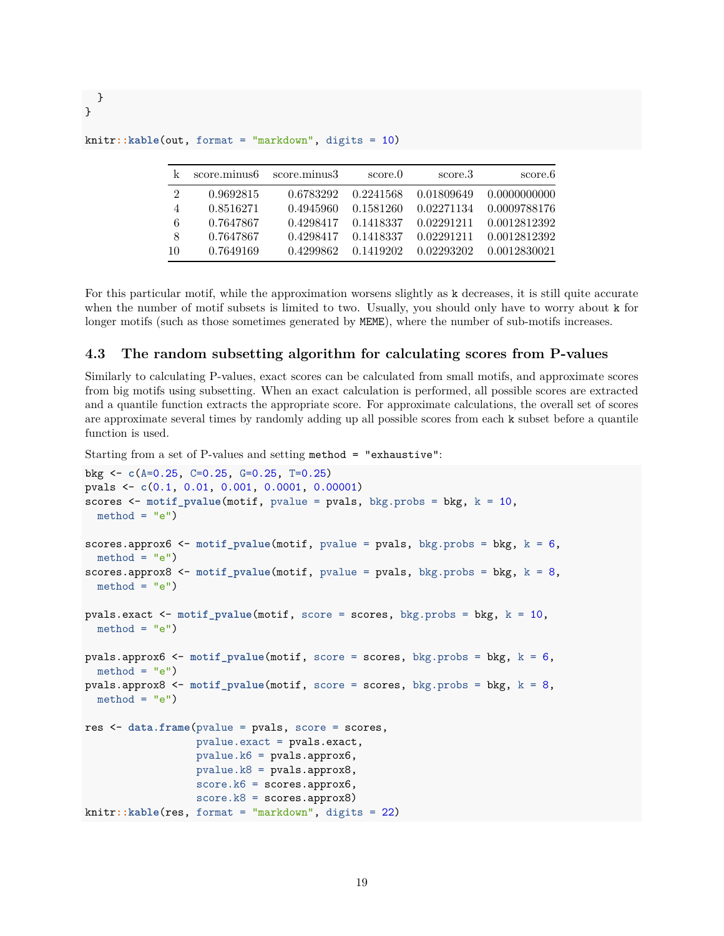| k  | score.minus6 | score.minus3 | score.0   | score.3    | score.6      |
|----|--------------|--------------|-----------|------------|--------------|
| 2  | 0.9692815    | 0.6783292    | 0.2241568 | 0.01809649 | 0.0000000000 |
| 4  | 0.8516271    | 0.4945960    | 0.1581260 | 0.02271134 | 0.0009788176 |
| 6  | 0.7647867    | 0.4298417    | 0.1418337 | 0.02291211 | 0.0012812392 |
| 8  | 0.7647867    | 0.4298417    | 0.1418337 | 0.02291211 | 0.0012812392 |
| 10 | 0.7649169    | 0.4299862    | 0.1419202 | 0.02293202 | 0.0012830021 |

knitr**::kable**(out, format = "markdown", digits = 10)

For this particular motif, while the approximation worsens slightly as k decreases, it is still quite accurate when the number of motif subsets is limited to two. Usually, you should only have to worry about k for longer motifs (such as those sometimes generated by MEME), where the number of sub-motifs increases.

#### <span id="page-18-0"></span>**4.3 The random subsetting algorithm for calculating scores from P-values**

Similarly to calculating P-values, exact scores can be calculated from small motifs, and approximate scores from big motifs using subsetting. When an exact calculation is performed, all possible scores are extracted and a quantile function extracts the appropriate score. For approximate calculations, the overall set of scores are approximate several times by randomly adding up all possible scores from each k subset before a quantile function is used.

Starting from a set of P-values and setting method = "exhaustive":

```
bkg <- c(A=0.25, C=0.25, G=0.25, T=0.25)
pvals <- c(0.1, 0.01, 0.001, 0.0001, 0.00001)
scores <- motif_pvalue(motif, pvalue = pvals, bkg.probs = bkg, k = 10,
 method = "e")scores.approx6 <- motif_pvalue(motif, pvalue = pvals, bkg.probs = bkg, k = 6,
 method = "e")scores.approx8 <- motif_pvalue(motif, pvalue = pvals, bkg.probs = bkg, k = 8,
  method = "e")pvals.exact <- motif_pvalue(motif, score = scores, bkg.probs = bkg, k = 10,
 method = "e")pvals.approx6 <- motif_pvalue(motif, score = scores, bkg.probs = bkg, k = 6,
 method = "e")pvals.approx8 <- motif_pvalue(motif, score = scores, bkg.probs = bkg, k = 8,
 method = "e")res <- data.frame(pvalue = pvals, score = scores,
                  pvalue.exact = pvals.exact,
                  pvalue.k6 = pvals.approx6,
                  pvalue.k8 = pvals.approx8,
                  score.k6 = scores.append,score.k8 = scores.approx8)
knitr::kable(res, format = "markdown", digits = 22)
```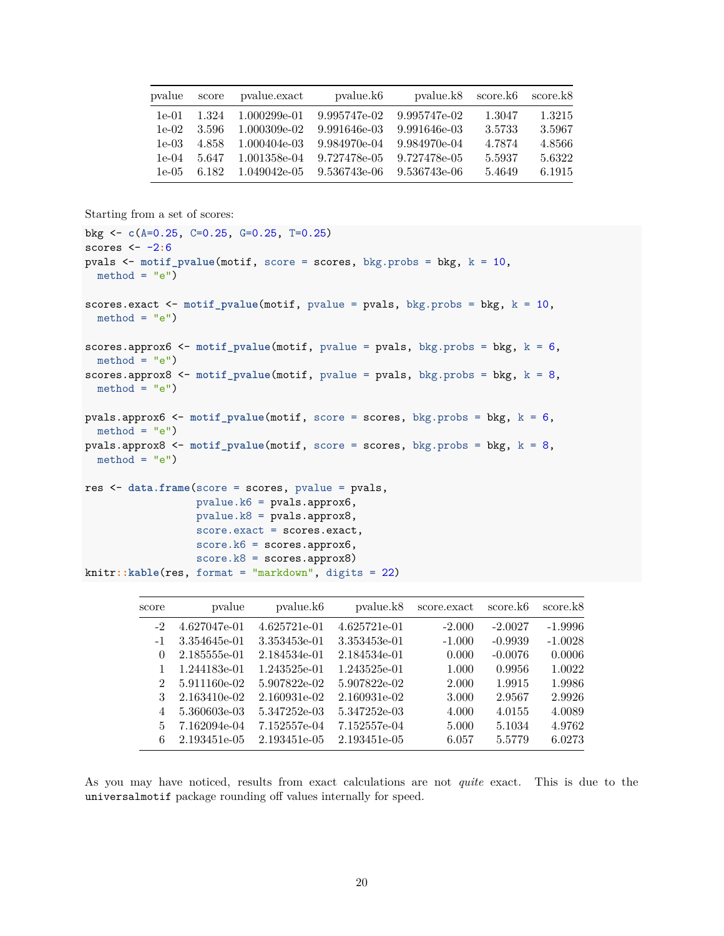| pvalue   | score | pvalue.exact | pvalue.k <sub>6</sub> | pvalue.k8    | score.k6 | score.k8 |
|----------|-------|--------------|-----------------------|--------------|----------|----------|
| $1e-01$  | 1.324 | 1.000299e-01 | 9.995747e-02          | 9.995747e-02 | 1.3047   | 1.3215   |
| $1e-02$  | 3.596 | 1.000309e-02 | 9.991646e-03          | 9.991646e-03 | 3.5733   | 3.5967   |
| $1e-0.3$ | 4.858 | 1.000404e-03 | 9.984970e-04          | 9.984970e-04 | 4.7874   | 4.8566   |
| $1e-04$  | 5.647 | 1.001358e-04 | 9.727478e-05          | 9.727478e-05 | 5.5937   | 5.6322   |
| $1e-0.5$ | 6.182 | 1.049042e-05 | 9.536743e-06          | 9.536743e-06 | 5.4649   | 6.1915   |

Starting from a set of scores:

```
bkg <- c(A=0.25, C=0.25, G=0.25, T=0.25)
scores <- -2:6
pvals <- motif_pvalue(motif, score = scores, bkg.probs = bkg, k = 10,
 method = "e")scores.exact <- motif_pvalue(motif, pvalue = pvals, bkg.probs = bkg, k = 10,
  method = "e")scores.approx6 <- motif_pvalue(motif, pvalue = pvals, bkg.probs = bkg, k = 6,
  method = "e")scores.approx8 <- motif_pvalue(motif, pvalue = pvals, bkg.probs = bkg, k = 8,
 method = "e")pvals.approx6 <- motif_pvalue(motif, score = scores, bkg.probs = bkg, k = 6,
 method = "e")pvals.approx8 <- motif_pvalue(motif, score = scores, bkg.probs = bkg, k = 8,
 method = "e")res <- data.frame(score = scores, pvalue = pvals,
                 pvalue.k6 = pvals.approx6,
                 pvalue.k8 = pvals.approx8,
                 score.exact = scores.exact,
                 score.k6 = scores.append,score.k8 = scores.approx8)
knitr::kable(res, format = "markdown", digits = 22)
```

| score.k8  | score.k <sub>6</sub> | score.exact | pvalue.k8    | pvalue.k <sub>6</sub> | pvalue       | score                       |
|-----------|----------------------|-------------|--------------|-----------------------|--------------|-----------------------------|
| $-1.9996$ | $-2.0027$            | $-2.000$    | 4.625721e-01 | 4.625721e-01          | 4.627047e-01 | $-2$                        |
| $-1.0028$ | $-0.9939$            | $-1.000$    | 3.353453e-01 | 3.353453e-01          | 3.354645e-01 | $-1$                        |
| 0.0006    | $-0.0076$            | 0.000       | 2.184534e-01 | 2.184534e-01          | 2.185555e-01 | $\theta$                    |
| 1.0022    | 0.9956               | 1.000       | 1.243525e-01 | 1.243525e-01          | 1.244183e-01 |                             |
| 1.9986    | 1.9915               | 2.000       | 5.907822e-02 | 5.907822e-02          | 5.911160e-02 | $\mathcal{D}_{\mathcal{L}}$ |
| 2.9926    | 2.9567               | 3.000       | 2.160931e-02 | 2.160931e-02          | 2.163410e-02 | 3                           |
| 4.0089    | 4.0155               | 4.000       | 5.347252e-03 | 5.347252e-03          | 5.360603e-03 | 4                           |
| 4.9762    | 5.1034               | 5.000       | 7.152557e-04 | 7.152557e-04          | 7.162094e-04 | 5                           |
| 6.0273    | 5.5779               | 6.057       | 2.193451e-05 | 2.193451e-05          | 2.193451e-05 | 6                           |
|           |                      |             |              |                       |              |                             |

As you may have noticed, results from exact calculations are not *quite* exact. This is due to the universalmotif package rounding off values internally for speed.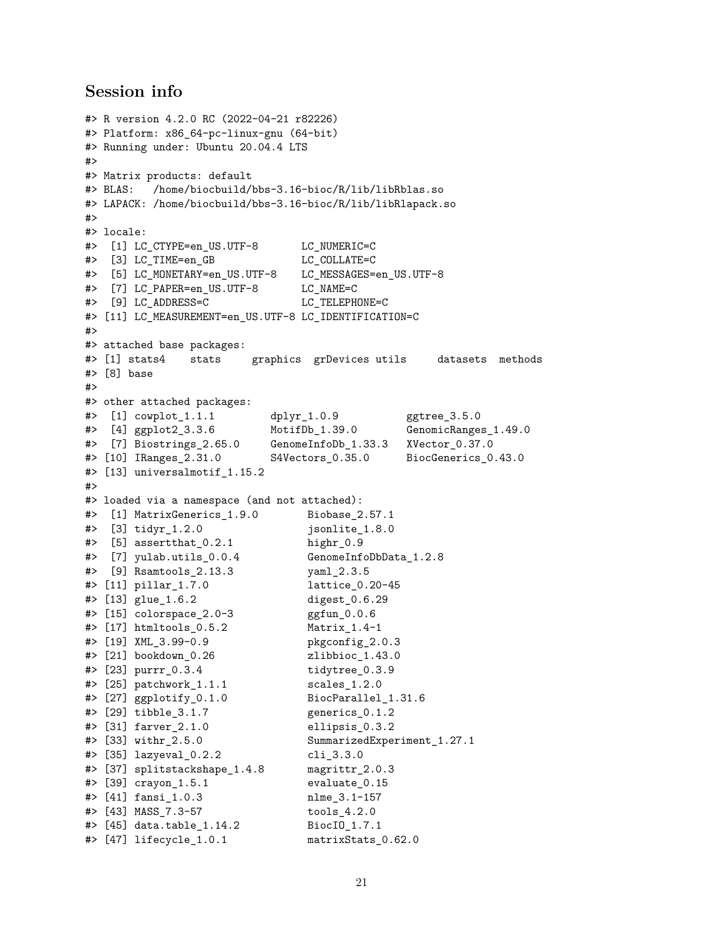## <span id="page-20-0"></span>**Session info**

```
#> R version 4.2.0 RC (2022-04-21 r82226)
#> Platform: x86_64-pc-linux-gnu (64-bit)
#> Running under: Ubuntu 20.04.4 LTS
#>
#> Matrix products: default
#> BLAS: /home/biocbuild/bbs-3.16-bioc/R/lib/libRblas.so
#> LAPACK: /home/biocbuild/bbs-3.16-bioc/R/lib/libRlapack.so
#>
#> locale:
#> [1] LC CTYPE=en US.UTF-8 LC NUMERIC=C
#> [3] LC_TIME=en_GB LC_COLLATE=C
#> [5] LC_MONETARY=en_US.UTF-8 LC_MESSAGES=en_US.UTF-8
#> [7] LC_PAPER=en_US.UTF-8 LC_NAME=C
#> [9] LC ADDRESS=C LC TELEPHONE=C
#> [11] LC_MEASUREMENT=en_US.UTF-8 LC_IDENTIFICATION=C
#>
#> attached base packages:
#> [1] stats4 stats graphics grDevices utils datasets methods
#> [8] base
#>
#> other attached packages:
#> [1] cowplot_1.1.1 dplyr_1.0.9 ggtree_3.5.0
#> [4] ggplot2_3.3.6 MotifDb_1.39.0 GenomicRanges_1.49.0
#> [7] Biostrings_2.65.0 GenomeInfoDb_1.33.3 XVector_0.37.0
#> [10] IRanges_2.31.0 S4Vectors_0.35.0 BiocGenerics_0.43.0
#> [13] universalmotif_1.15.2
#>
#> loaded via a namespace (and not attached):
#> [1] MatrixGenerics_1.9.0 Biobase_2.57.1
#> [3] tidyr_1.2.0 jsonlite_1.8.0
# [5] assertthat 0.2.1 highr 0.9#> [7] yulab.utils_0.0.4 GenomeInfoDbData_1.2.8
#> [9] Rsamtools_2.13.3 yaml_2.3.5
#> [11] pillar_1.7.0 lattice_0.20-45
#> [13] glue_1.6.2 digest_0.6.29
# [15] colorspace 2.0-3 ggfun 0.0.6
#> [17] htmltools_0.5.2 Matrix_1.4-1
#> [19] XML_3.99-0.9 pkgconfig_2.0.3
#> [21] bookdown_0.26 zlibbioc_1.43.0
#> [23] purrr_0.3.4 tidytree_0.3.9
#> [25] patchwork_1.1.1 scales_1.2.0
# [27] ggplotify 0.1.0 BiocParallel 1.31.6#> [29] tibble_3.1.7 generics_0.1.2
#> [31] farver_2.1.0 ellipsis_0.3.2
#> [33] withr_2.5.0 SummarizedExperiment_1.27.1
#> [35] lazyeval_0.2.2 cli_3.3.0
#> [37] splitstackshape_1.4.8 magrittr_2.0.3
#> [39] crayon_1.5.1 evaluate_0.15
#> [41] fansi_1.0.3 nlme_3.1-157
#> [43] MASS_7.3-57 tools_4.2.0
#> [45] data.table_1.14.2 BiocIO_1.7.1
#> [47] lifecycle_1.0.1 matrixStats_0.62.0
```